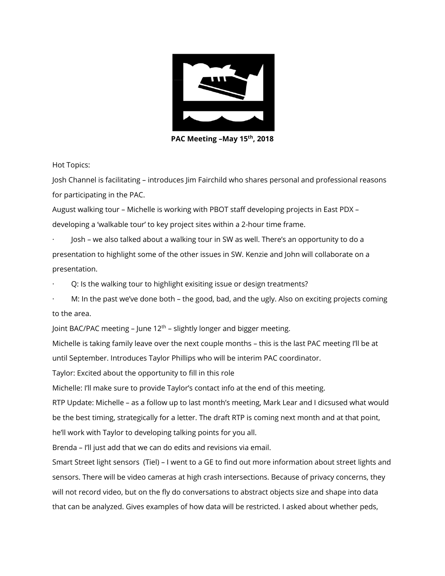

**PAC Meeting –May 15th, 2018**

Hot Topics:

Josh Channel is facilitating – introduces Jim Fairchild who shares personal and professional reasons for participating in the PAC.

August walking tour – Michelle is working with PBOT staff developing projects in East PDX – developing a 'walkable tour' to key project sites within a 2-hour time frame.

· Josh – we also talked about a walking tour in SW as well. There's an opportunity to do a presentation to highlight some of the other issues in SW. Kenzie and John will collaborate on a presentation.

Q: Is the walking tour to highlight exisiting issue or design treatments?

· M: In the past we've done both – the good, bad, and the ugly. Also on exciting projects coming to the area.

Joint BAC/PAC meeting – June  $12<sup>th</sup>$  – slightly longer and bigger meeting.

Michelle is taking family leave over the next couple months – this is the last PAC meeting I'll be at

until September. Introduces Taylor Phillips who will be interim PAC coordinator.

Taylor: Excited about the opportunity to fill in this role

Michelle: I'll make sure to provide Taylor's contact info at the end of this meeting.

RTP Update: Michelle – as a follow up to last month's meeting, Mark Lear and I dicsused what would be the best timing, strategically for a letter. The draft RTP is coming next month and at that point, he'll work with Taylor to developing talking points for you all.

Brenda – I'll just add that we can do edits and revisions via email.

Smart Street light sensors (Tiel) – I went to a GE to find out more information about street lights and sensors. There will be video cameras at high crash intersections. Because of privacy concerns, they will not record video, but on the fly do conversations to abstract objects size and shape into data that can be analyzed. Gives examples of how data will be restricted. I asked about whether peds,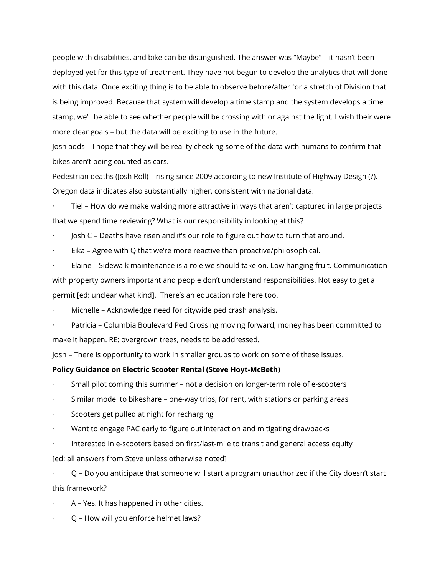people with disabilities, and bike can be distinguished. The answer was "Maybe" – it hasn't been deployed yet for this type of treatment. They have not begun to develop the analytics that will done with this data. Once exciting thing is to be able to observe before/after for a stretch of Division that is being improved. Because that system will develop a time stamp and the system develops a time stamp, we'll be able to see whether people will be crossing with or against the light. I wish their were more clear goals – but the data will be exciting to use in the future.

Josh adds – I hope that they will be reality checking some of the data with humans to confirm that bikes aren't being counted as cars.

Pedestrian deaths (Josh Roll) – rising since 2009 according to new Institute of Highway Design (?). Oregon data indicates also substantially higher, consistent with national data.

Tiel – How do we make walking more attractive in ways that aren't captured in large projects that we spend time reviewing? What is our responsibility in looking at this?

· Josh C – Deaths have risen and it's our role to figure out how to turn that around.

Eika - Agree with Q that we're more reactive than proactive/philosophical.

Elaine – Sidewalk maintenance is a role we should take on. Low hanging fruit. Communication with property owners important and people don't understand responsibilities. Not easy to get a permit [ed: unclear what kind]. There's an education role here too.

Michelle - Acknowledge need for citywide ped crash analysis.

Patricia – Columbia Boulevard Ped Crossing moving forward, money has been committed to make it happen. RE: overgrown trees, needs to be addressed.

Josh – There is opportunity to work in smaller groups to work on some of these issues.

## **Policy Guidance on Electric Scooter Rental (Steve Hoyt-McBeth)**

- Small pilot coming this summer not a decision on longer-term role of e-scooters
- Similar model to bikeshare one-way trips, for rent, with stations or parking areas
- Scooters get pulled at night for recharging
- Want to engage PAC early to figure out interaction and mitigating drawbacks
- · Interested in e-scooters based on first/last-mile to transit and general access equity

[ed: all answers from Steve unless otherwise noted]

· Q – Do you anticipate that someone will start a program unauthorized if the City doesn't start this framework?

- · A Yes. It has happened in other cities.
- · Q How will you enforce helmet laws?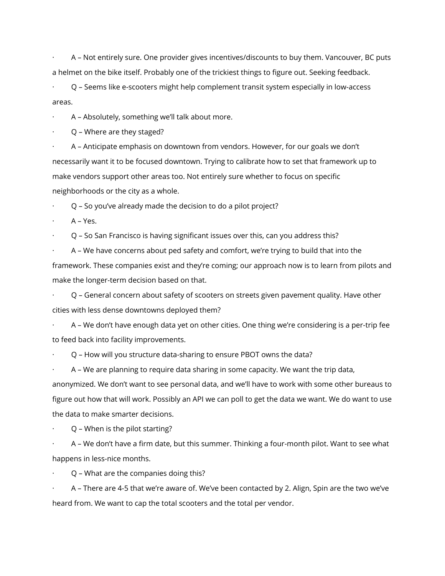· A – Not entirely sure. One provider gives incentives/discounts to buy them. Vancouver, BC puts a helmet on the bike itself. Probably one of the trickiest things to figure out. Seeking feedback.

· Q – Seems like e-scooters might help complement transit system especially in low-access areas.

· A – Absolutely, something we'll talk about more.

· Q – Where are they staged?

· A – Anticipate emphasis on downtown from vendors. However, for our goals we don't necessarily want it to be focused downtown. Trying to calibrate how to set that framework up to make vendors support other areas too. Not entirely sure whether to focus on specific neighborhoods or the city as a whole.

· Q – So you've already made the decision to do a pilot project?

A – Yes.

· Q – So San Francisco is having significant issues over this, can you address this?

· A – We have concerns about ped safety and comfort, we're trying to build that into the framework. These companies exist and they're coming; our approach now is to learn from pilots and make the longer-term decision based on that.

· Q – General concern about safety of scooters on streets given pavement quality. Have other cities with less dense downtowns deployed them?

· A – We don't have enough data yet on other cities. One thing we're considering is a per-trip fee to feed back into facility improvements.

· Q – How will you structure data-sharing to ensure PBOT owns the data?

· A – We are planning to require data sharing in some capacity. We want the trip data, anonymized. We don't want to see personal data, and we'll have to work with some other bureaus to figure out how that will work. Possibly an API we can poll to get the data we want. We do want to use the data to make smarter decisions.

· Q – When is the pilot starting?

· A – We don't have a firm date, but this summer. Thinking a four-month pilot. Want to see what happens in less-nice months.

· Q – What are the companies doing this?

· A – There are 4-5 that we're aware of. We've been contacted by 2. Align, Spin are the two we've heard from. We want to cap the total scooters and the total per vendor.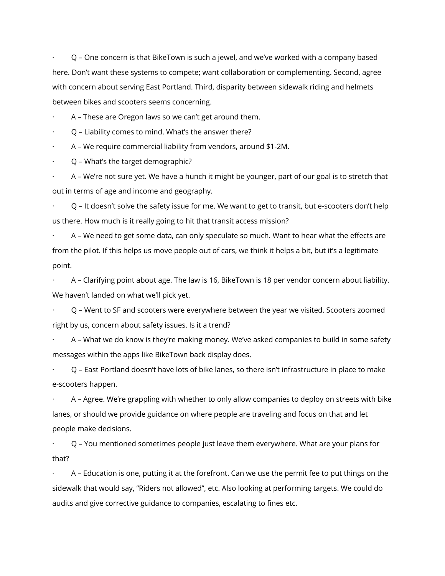· Q – One concern is that BikeTown is such a jewel, and we've worked with a company based here. Don't want these systems to compete; want collaboration or complementing. Second, agree with concern about serving East Portland. Third, disparity between sidewalk riding and helmets between bikes and scooters seems concerning.

A – These are Oregon laws so we can't get around them.

· Q – Liability comes to mind. What's the answer there?

· A – We require commercial liability from vendors, around \$1-2M.

· Q – What's the target demographic?

· A – We're not sure yet. We have a hunch it might be younger, part of our goal is to stretch that out in terms of age and income and geography.

· Q – It doesn't solve the safety issue for me. We want to get to transit, but e-scooters don't help us there. How much is it really going to hit that transit access mission?

A - We need to get some data, can only speculate so much. Want to hear what the effects are from the pilot. If this helps us move people out of cars, we think it helps a bit, but it's a legitimate point.

· A – Clarifying point about age. The law is 16, BikeTown is 18 per vendor concern about liability. We haven't landed on what we'll pick yet.

· Q – Went to SF and scooters were everywhere between the year we visited. Scooters zoomed right by us, concern about safety issues. Is it a trend?

· A – What we do know is they're making money. We've asked companies to build in some safety messages within the apps like BikeTown back display does.

· Q – East Portland doesn't have lots of bike lanes, so there isn't infrastructure in place to make e-scooters happen.

· A – Agree. We're grappling with whether to only allow companies to deploy on streets with bike lanes, or should we provide guidance on where people are traveling and focus on that and let people make decisions.

· Q – You mentioned sometimes people just leave them everywhere. What are your plans for that?

· A – Education is one, putting it at the forefront. Can we use the permit fee to put things on the sidewalk that would say, "Riders not allowed", etc. Also looking at performing targets. We could do audits and give corrective guidance to companies, escalating to fines etc.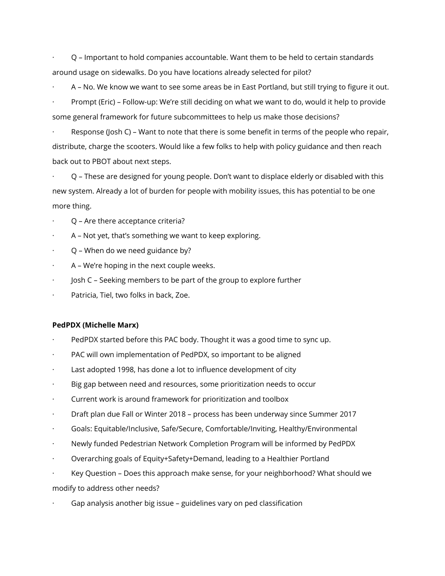· Q – Important to hold companies accountable. Want them to be held to certain standards around usage on sidewalks. Do you have locations already selected for pilot?

· A – No. We know we want to see some areas be in East Portland, but still trying to figure it out.

· Prompt (Eric) – Follow-up: We're still deciding on what we want to do, would it help to provide some general framework for future subcommittees to help us make those decisions?

Response (Josh C) – Want to note that there is some benefit in terms of the people who repair, distribute, charge the scooters. Would like a few folks to help with policy guidance and then reach back out to PBOT about next steps.

· Q – These are designed for young people. Don't want to displace elderly or disabled with this new system. Already a lot of burden for people with mobility issues, this has potential to be one more thing.

- Q Are there acceptance criteria?
- · A Not yet, that's something we want to keep exploring.
- · Q When do we need guidance by?
- A We're hoping in the next couple weeks.
- · Josh C Seeking members to be part of the group to explore further
- Patricia, Tiel, two folks in back, Zoe.

## **PedPDX (Michelle Marx)**

- PedPDX started before this PAC body. Thought it was a good time to sync up.
- PAC will own implementation of PedPDX, so important to be aligned
- Last adopted 1998, has done a lot to influence development of city
- · Big gap between need and resources, some prioritization needs to occur
- · Current work is around framework for prioritization and toolbox
- · Draft plan due Fall or Winter 2018 process has been underway since Summer 2017
- · Goals: Equitable/Inclusive, Safe/Secure, Comfortable/Inviting, Healthy/Environmental
- · Newly funded Pedestrian Network Completion Program will be informed by PedPDX
- · Overarching goals of Equity+Safety+Demand, leading to a Healthier Portland
- · Key Question Does this approach make sense, for your neighborhood? What should we

modify to address other needs?

Gap analysis another big issue - guidelines vary on ped classification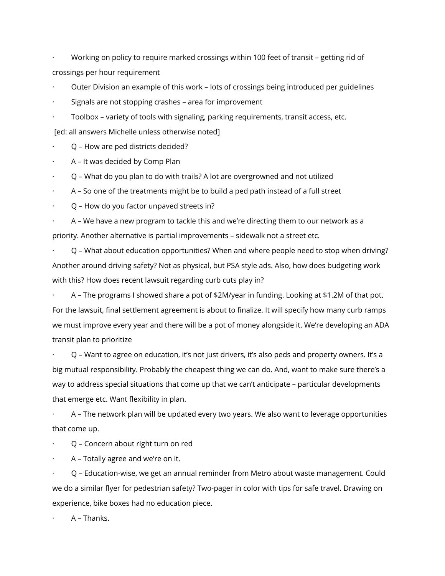· Working on policy to require marked crossings within 100 feet of transit – getting rid of crossings per hour requirement

- · Outer Division an example of this work lots of crossings being introduced per guidelines
- Signals are not stopping crashes area for improvement
- · Toolbox variety of tools with signaling, parking requirements, transit access, etc.

[ed: all answers Michelle unless otherwise noted]

· Q – How are ped districts decided?

- A It was decided by Comp Plan
- · Q What do you plan to do with trails? A lot are overgrowned and not utilized
- · A So one of the treatments might be to build a ped path instead of a full street
- · Q How do you factor unpaved streets in?

· A – We have a new program to tackle this and we're directing them to our network as a priority. Another alternative is partial improvements – sidewalk not a street etc.

· Q – What about education opportunities? When and where people need to stop when driving? Another around driving safety? Not as physical, but PSA style ads. Also, how does budgeting work with this? How does recent lawsuit regarding curb cuts play in?

· A – The programs I showed share a pot of \$2M/year in funding. Looking at \$1.2M of that pot. For the lawsuit, final settlement agreement is about to finalize. It will specify how many curb ramps we must improve every year and there will be a pot of money alongside it. We're developing an ADA transit plan to prioritize

· Q – Want to agree on education, it's not just drivers, it's also peds and property owners. It's a big mutual responsibility. Probably the cheapest thing we can do. And, want to make sure there's a way to address special situations that come up that we can't anticipate – particular developments that emerge etc. Want flexibility in plan.

· A – The network plan will be updated every two years. We also want to leverage opportunities that come up.

· Q – Concern about right turn on red

· A – Totally agree and we're on it.

· Q – Education-wise, we get an annual reminder from Metro about waste management. Could we do a similar flyer for pedestrian safety? Two-pager in color with tips for safe travel. Drawing on experience, bike boxes had no education piece.

· A – Thanks.